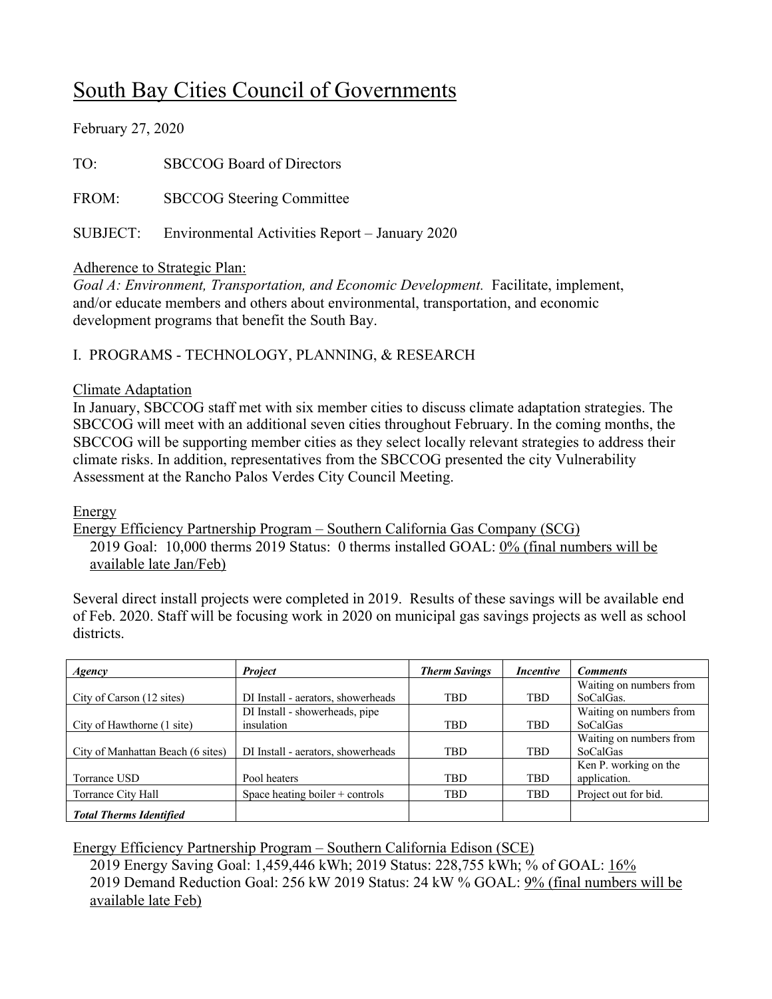# South Bay Cities Council of Governments

February 27, 2020

TO: SBCCOG Board of Directors

FROM: SBCCOG Steering Committee

SUBJECT: Environmental Activities Report – January 2020

# Adherence to Strategic Plan:

*Goal A: Environment, Transportation, and Economic Development.* Facilitate, implement, and/or educate members and others about environmental, transportation, and economic development programs that benefit the South Bay.

# I. PROGRAMS - TECHNOLOGY, PLANNING, & RESEARCH

#### Climate Adaptation

In January, SBCCOG staff met with six member cities to discuss climate adaptation strategies. The SBCCOG will meet with an additional seven cities throughout February. In the coming months, the SBCCOG will be supporting member cities as they select locally relevant strategies to address their climate risks. In addition, representatives from the SBCCOG presented the city Vulnerability Assessment at the Rancho Palos Verdes City Council Meeting.

Energy

Energy Efficiency Partnership Program – Southern California Gas Company (SCG) 2019 Goal: 10,000 therms 2019 Status: 0 therms installed GOAL: 0% (final numbers will be available late Jan/Feb)

Several direct install projects were completed in 2019. Results of these savings will be available end of Feb. 2020. Staff will be focusing work in 2020 on municipal gas savings projects as well as school districts.

| Agency                            | <b>Project</b>                     | <b>Therm Savings</b> | <i>Incentive</i> | <b>Comments</b>         |
|-----------------------------------|------------------------------------|----------------------|------------------|-------------------------|
|                                   |                                    |                      |                  | Waiting on numbers from |
| City of Carson (12 sites)         | DI Install - aerators, showerheads | <b>TBD</b>           | TBD              | SoCalGas.               |
|                                   | DI Install - showerheads, pipe     |                      |                  | Waiting on numbers from |
| City of Hawthorne (1 site)        | insulation                         | <b>TBD</b>           | TBD              | SoCalGas                |
|                                   |                                    |                      |                  | Waiting on numbers from |
| City of Manhattan Beach (6 sites) | DI Install - aerators, showerheads | <b>TBD</b>           | <b>TBD</b>       | <b>SoCalGas</b>         |
|                                   |                                    |                      |                  | Ken P. working on the   |
| Torrance USD                      | Pool heaters                       | <b>TBD</b>           | <b>TBD</b>       | application.            |
| Torrance City Hall                | Space heating boiler $+$ controls  | <b>TBD</b>           | TBD              | Project out for bid.    |
| <b>Total Therms Identified</b>    |                                    |                      |                  |                         |

Energy Efficiency Partnership Program – Southern California Edison (SCE)

2019 Energy Saving Goal: 1,459,446 kWh; 2019 Status: 228,755 kWh; % of GOAL: 16% 2019 Demand Reduction Goal: 256 kW 2019 Status: 24 kW % GOAL: 9% (final numbers will be available late Feb)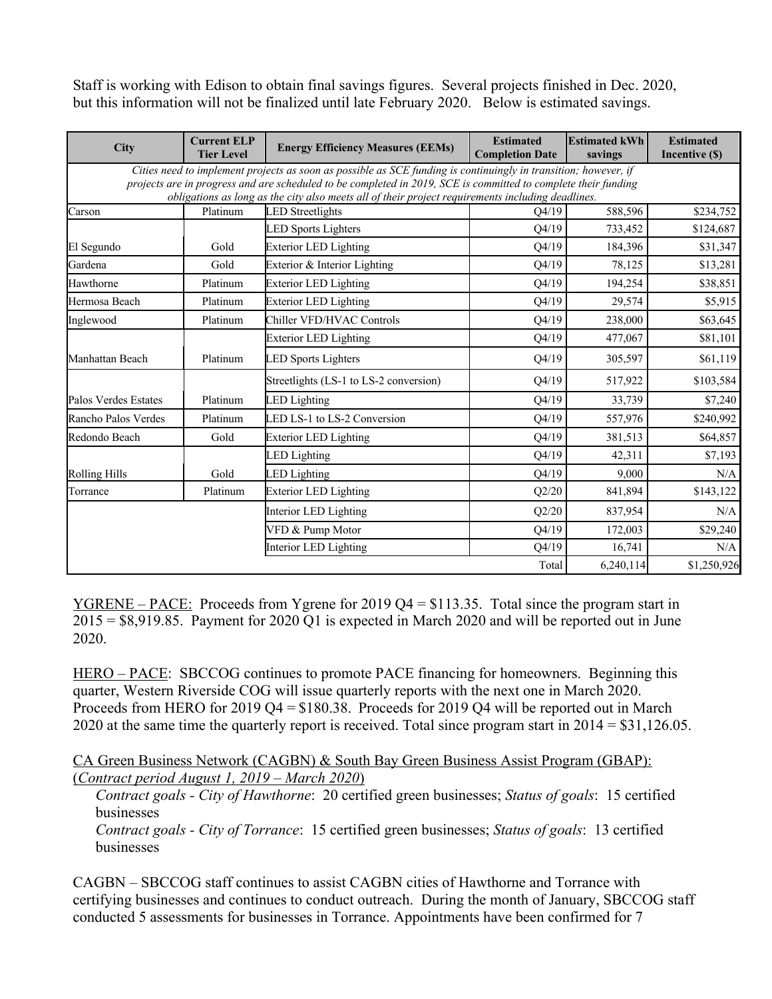Staff is working with Edison to obtain final savings figures. Several projects finished in Dec. 2020, but this information will not be finalized until late February 2020. Below is estimated savings.

| <b>City</b>                                                                                                                                                                                                                                                                                                                            | <b>Current ELP</b><br><b>Tier Level</b> | <b>Energy Efficiency Measures (EEMs)</b> | <b>Estimated</b><br><b>Completion Date</b> | <b>Estimated kWh</b><br>savings | <b>Estimated</b><br>Incentive (\$) |  |  |
|----------------------------------------------------------------------------------------------------------------------------------------------------------------------------------------------------------------------------------------------------------------------------------------------------------------------------------------|-----------------------------------------|------------------------------------------|--------------------------------------------|---------------------------------|------------------------------------|--|--|
| Cities need to implement projects as soon as possible as SCE funding is continuingly in transition; however, if<br>projects are in progress and are scheduled to be completed in 2019, SCE is committed to complete their funding<br>obligations as long as the city also meets all of their project requirements including deadlines. |                                         |                                          |                                            |                                 |                                    |  |  |
| Carson                                                                                                                                                                                                                                                                                                                                 | Platinum                                | <b>LED</b> Streetlights                  | O4/19                                      | 588,596                         | \$234,752                          |  |  |
|                                                                                                                                                                                                                                                                                                                                        |                                         | <b>LED Sports Lighters</b>               | Q4/19                                      | 733,452                         | \$124,687                          |  |  |
| El Segundo                                                                                                                                                                                                                                                                                                                             | Gold                                    | <b>Exterior LED Lighting</b>             | Q4/19                                      | 184,396                         | \$31,347                           |  |  |
| Gardena                                                                                                                                                                                                                                                                                                                                | Gold                                    | Exterior & Interior Lighting             | Q4/19                                      | 78,125                          | \$13,281                           |  |  |
| Hawthorne                                                                                                                                                                                                                                                                                                                              | Platinum                                | <b>Exterior LED Lighting</b>             | Q4/19                                      | 194,254                         | \$38,851                           |  |  |
| Hermosa Beach                                                                                                                                                                                                                                                                                                                          | Platinum                                | <b>Exterior LED Lighting</b>             | Q4/19                                      | 29,574                          | \$5,915                            |  |  |
| Inglewood                                                                                                                                                                                                                                                                                                                              | Platinum                                | Chiller VFD/HVAC Controls                | Q4/19                                      | 238,000                         | \$63,645                           |  |  |
|                                                                                                                                                                                                                                                                                                                                        |                                         | <b>Exterior LED Lighting</b>             | Q4/19                                      | 477,067                         | \$81,101                           |  |  |
| Manhattan Beach                                                                                                                                                                                                                                                                                                                        | Platinum                                | <b>LED Sports Lighters</b>               | Q4/19                                      | 305,597                         | \$61,119                           |  |  |
|                                                                                                                                                                                                                                                                                                                                        |                                         | Streetlights (LS-1 to LS-2 conversion)   | Q4/19                                      | 517,922                         | \$103,584                          |  |  |
| Palos Verdes Estates                                                                                                                                                                                                                                                                                                                   | Platinum                                | <b>LED</b> Lighting                      | Q4/19                                      | 33,739                          | \$7,240                            |  |  |
| Rancho Palos Verdes                                                                                                                                                                                                                                                                                                                    | Platinum                                | LED LS-1 to LS-2 Conversion              | Q4/19                                      | 557,976                         | \$240,992                          |  |  |
| Redondo Beach                                                                                                                                                                                                                                                                                                                          | Gold                                    | <b>Exterior LED Lighting</b>             | Q4/19                                      | 381,513                         | \$64,857                           |  |  |
|                                                                                                                                                                                                                                                                                                                                        |                                         | <b>LED</b> Lighting                      | Q4/19                                      | 42,311                          | \$7,193                            |  |  |
| <b>Rolling Hills</b>                                                                                                                                                                                                                                                                                                                   | Gold                                    | <b>LED</b> Lighting                      | Q4/19                                      | 9,000                           | N/A                                |  |  |
| Torrance                                                                                                                                                                                                                                                                                                                               | Platinum                                | <b>Exterior LED Lighting</b>             | Q2/20                                      | 841,894                         | \$143,122                          |  |  |
|                                                                                                                                                                                                                                                                                                                                        |                                         | Interior LED Lighting                    | Q2/20                                      | 837,954                         | N/A                                |  |  |
|                                                                                                                                                                                                                                                                                                                                        |                                         | VFD & Pump Motor                         | Q4/19                                      | 172,003                         | \$29,240                           |  |  |
|                                                                                                                                                                                                                                                                                                                                        |                                         | Interior LED Lighting                    | O4/19                                      | 16,741                          | N/A                                |  |  |
|                                                                                                                                                                                                                                                                                                                                        |                                         |                                          | Total                                      | 6,240,114                       | \$1,250,926                        |  |  |

YGRENE – PACE: Proceeds from Ygrene for 2019 Q4 = \$113.35. Total since the program start in 2015 = \$8,919.85. Payment for 2020 Q1 is expected in March 2020 and will be reported out in June 2020.

HERO – PACE: SBCCOG continues to promote PACE financing for homeowners. Beginning this quarter, Western Riverside COG will issue quarterly reports with the next one in March 2020. Proceeds from HERO for  $2019 Q4 = $180.38$ . Proceeds for 2019 Q4 will be reported out in March 2020 at the same time the quarterly report is received. Total since program start in 2014 = \$31,126.05.

CA Green Business Network (CAGBN) & South Bay Green Business Assist Program (GBAP): (*Contract period August 1, 2019 – March 2020*)

*Contract goals - City of Hawthorne*: 20 certified green businesses; *Status of goals*: 15 certified businesses

*Contract goals - City of Torrance*: 15 certified green businesses; *Status of goals*: 13 certified businesses

CAGBN – SBCCOG staff continues to assist CAGBN cities of Hawthorne and Torrance with certifying businesses and continues to conduct outreach. During the month of January, SBCCOG staff conducted 5 assessments for businesses in Torrance. Appointments have been confirmed for 7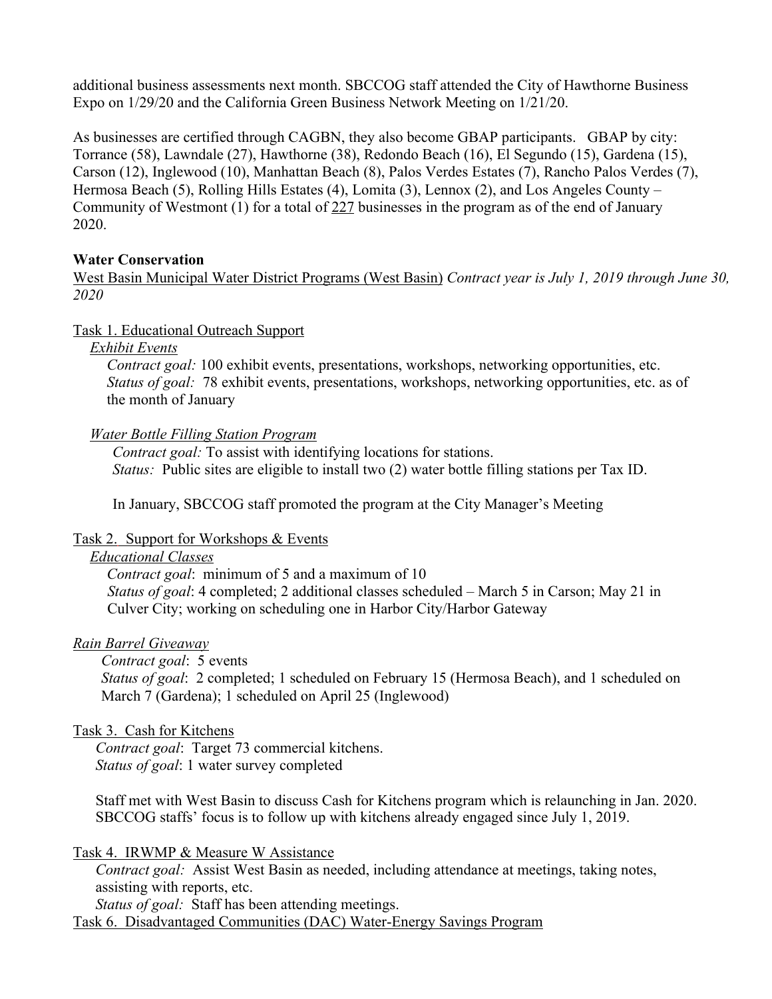additional business assessments next month. SBCCOG staff attended the City of Hawthorne Business Expo on 1/29/20 and the California Green Business Network Meeting on 1/21/20.

As businesses are certified through CAGBN, they also become GBAP participants. GBAP by city: Torrance (58), Lawndale (27), Hawthorne (38), Redondo Beach (16), El Segundo (15), Gardena (15), Carson (12), Inglewood (10), Manhattan Beach (8), Palos Verdes Estates (7), Rancho Palos Verdes (7), Hermosa Beach (5), Rolling Hills Estates (4), Lomita (3), Lennox (2), and Los Angeles County – Community of Westmont (1) for a total of  $227$  businesses in the program as of the end of January 2020.

#### **Water Conservation**

West Basin Municipal Water District Programs (West Basin) *Contract year is July 1, 2019 through June 30, 2020* 

#### Task 1. Educational Outreach Support

*Exhibit Events*

*Contract goal:* 100 exhibit events, presentations, workshops, networking opportunities, etc. *Status of goal:* 78 exhibit events, presentations, workshops, networking opportunities, etc. as of the month of January

#### *Water Bottle Filling Station Program*

*Contract goal:* To assist with identifying locations for stations. *Status:* Public sites are eligible to install two (2) water bottle filling stations per Tax ID.

In January, SBCCOG staff promoted the program at the City Manager's Meeting

#### Task 2. Support for Workshops & Events

#### *Educational Classes*

*Contract goal*: minimum of 5 and a maximum of 10 *Status of goal*: 4 completed; 2 additional classes scheduled – March 5 in Carson; May 21 in Culver City; working on scheduling one in Harbor City/Harbor Gateway

#### *Rain Barrel Giveaway*

*Contract goal*: 5 events

*Status of goal*: 2 completed; 1 scheduled on February 15 (Hermosa Beach), and 1 scheduled on March 7 (Gardena); 1 scheduled on April 25 (Inglewood)

# Task 3. Cash for Kitchens

*Contract goal*: Target 73 commercial kitchens. *Status of goal*: 1 water survey completed

Staff met with West Basin to discuss Cash for Kitchens program which is relaunching in Jan. 2020. SBCCOG staffs' focus is to follow up with kitchens already engaged since July 1, 2019.

#### Task 4. IRWMP & Measure W Assistance

*Contract goal:* Assist West Basin as needed, including attendance at meetings, taking notes, assisting with reports, etc.

*Status of goal:* Staff has been attending meetings.

Task 6. Disadvantaged Communities (DAC) Water-Energy Savings Program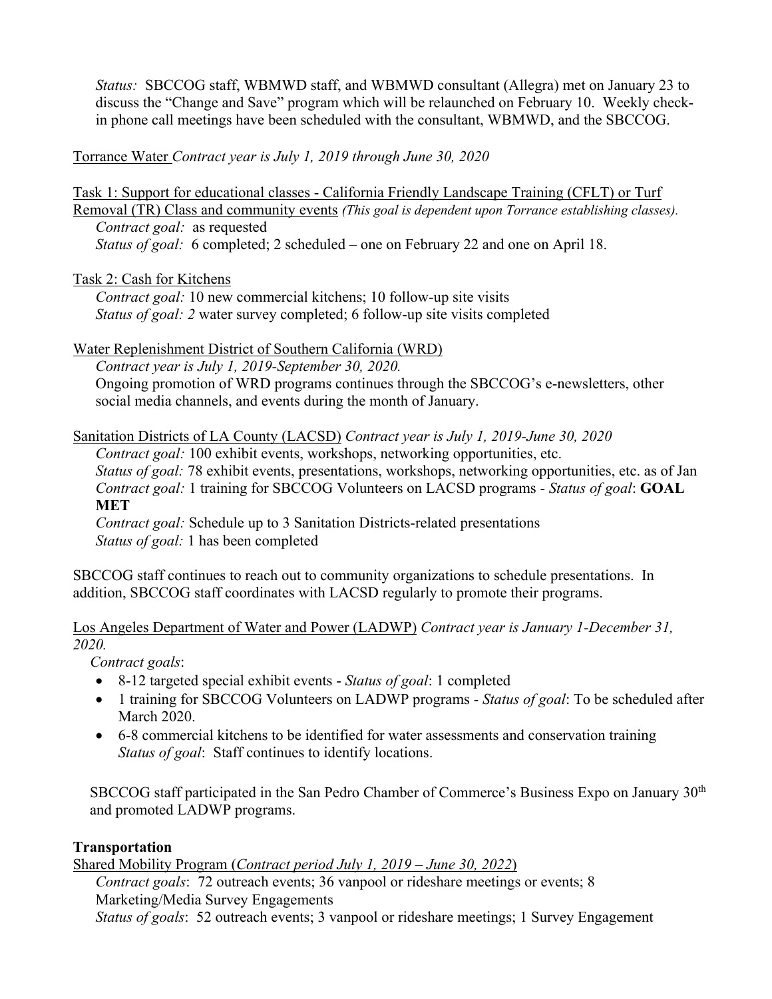*Status:* SBCCOG staff, WBMWD staff, and WBMWD consultant (Allegra) met on January 23 to discuss the "Change and Save" program which will be relaunched on February 10. Weekly checkin phone call meetings have been scheduled with the consultant, WBMWD, and the SBCCOG.

Torrance Water *Contract year is July 1, 2019 through June 30, 2020*

Task 1: Support for educational classes - California Friendly Landscape Training (CFLT) or Turf Removal (TR) Class and community events *(This goal is dependent upon Torrance establishing classes). Contract goal:* as requested *Status of goal:* 6 completed; 2 scheduled – one on February 22 and one on April 18.

Task 2: Cash for Kitchens

*Contract goal:* 10 new commercial kitchens; 10 follow-up site visits *Status of goal: 2* water survey completed; 6 follow-up site visits completed

Water Replenishment District of Southern California (WRD)

*Contract year is July 1, 2019-September 30, 2020.* Ongoing promotion of WRD programs continues through the SBCCOG's e-newsletters, other social media channels, and events during the month of January.

Sanitation Districts of LA County (LACSD) *Contract year is July 1, 2019-June 30, 2020*

*Contract goal:* 100 exhibit events, workshops, networking opportunities, etc. *Status of goal:* 78 exhibit events, presentations, workshops, networking opportunities, etc. as of Jan *Contract goal:* 1 training for SBCCOG Volunteers on LACSD programs - *Status of goal*: **GOAL MET**

*Contract goal:* Schedule up to 3 Sanitation Districts-related presentations *Status of goal:* 1 has been completed

SBCCOG staff continues to reach out to community organizations to schedule presentations. In addition, SBCCOG staff coordinates with LACSD regularly to promote their programs.

Los Angeles Department of Water and Power (LADWP) *Contract year is January 1-December 31, 2020.*

*Contract goals*:

- 8-12 targeted special exhibit events *Status of goal*: 1 completed
- 1 training for SBCCOG Volunteers on LADWP programs *Status of goal*: To be scheduled after March 2020.
- 6-8 commercial kitchens to be identified for water assessments and conservation training *Status of goal*: Staff continues to identify locations.

SBCCOG staff participated in the San Pedro Chamber of Commerce's Business Expo on January 30th and promoted LADWP programs.

# **Transportation**

Shared Mobility Program (*Contract period July 1, 2019 – June 30, 2022*)

*Contract goals*: 72 outreach events; 36 vanpool or rideshare meetings or events; 8 Marketing/Media Survey Engagements

*Status of goals*: 52 outreach events; 3 vanpool or rideshare meetings; 1 Survey Engagement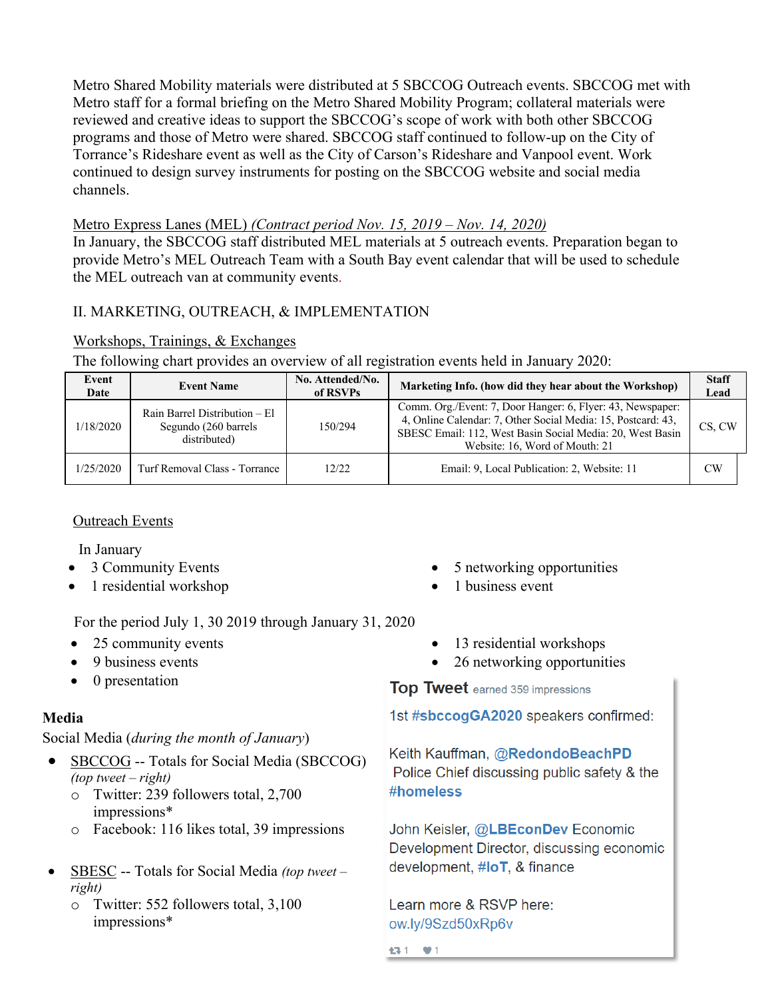Metro Shared Mobility materials were distributed at 5 SBCCOG Outreach events. SBCCOG met with Metro staff for a formal briefing on the Metro Shared Mobility Program; collateral materials were reviewed and creative ideas to support the SBCCOG's scope of work with both other SBCCOG programs and those of Metro were shared. SBCCOG staff continued to follow-up on the City of Torrance's Rideshare event as well as the City of Carson's Rideshare and Vanpool event. Work continued to design survey instruments for posting on the SBCCOG website and social media channels.

# Metro Express Lanes (MEL) *(Contract period Nov. 15, 2019 – Nov. 14, 2020)*

In January, the SBCCOG staff distributed MEL materials at 5 outreach events. Preparation began to provide Metro's MEL Outreach Team with a South Bay event calendar that will be used to schedule the MEL outreach van at community events.

# II. MARKETING, OUTREACH, & IMPLEMENTATION

Workshops, Trainings, & Exchanges

The following chart provides an overview of all registration events held in January 2020:

| Event<br>Date | <b>Event Name</b>                                                     | No. Attended/No.<br>of RSVPs | Marketing Info. (how did they hear about the Workshop)                                                                                                                                                                    | <b>Staff</b><br>Lead |  |
|---------------|-----------------------------------------------------------------------|------------------------------|---------------------------------------------------------------------------------------------------------------------------------------------------------------------------------------------------------------------------|----------------------|--|
| 1/18/2020     | Rain Barrel Distribution – El<br>Segundo (260 barrels<br>distributed) | 150/294                      | Comm. Org./Event: 7, Door Hanger: 6, Flyer: 43, Newspaper:<br>4, Online Calendar: 7, Other Social Media: 15, Postcard: 43,<br>SBESC Email: 112, West Basin Social Media: 20, West Basin<br>Website: 16, Word of Mouth: 21 | CS. CW               |  |
| 1/25/2020     | Turf Removal Class - Torrance                                         | 12/22                        | Email: 9, Local Publication: 2, Website: 11                                                                                                                                                                               | CW                   |  |

# Outreach Events

In January

- 3 Community Events
- 1 residential workshop

For the period July 1, 30 2019 through January 31, 2020

- 25 community events
- 9 business events
- 0 presentation

# **Media**

Social Media (*during the month of January*)

- SBCCOG -- Totals for Social Media (SBCCOG) *(top tweet – right)*
	- o Twitter: 239 followers total, 2,700 impressions\*
	- o Facebook: 116 likes total, 39 impressions
- SBESC -- Totals for Social Media *(top tweet – right)*
	- o Twitter: 552 followers total, 3,100 impressions\*
- 5 networking opportunities
- 1 business event
- 13 residential workshops
- 26 networking opportunities

**Top Tweet** earned 359 impressions

1st #sbccogGA2020 speakers confirmed:

Keith Kauffman, @RedondoBeachPD Police Chief discussing public safety & the #homeless

John Keisler, @LBEconDev Economic Development Director, discussing economic development, #loT, & finance

Learn more & RSVP here: ow.ly/9Szd50xRp6v

13-1 ♥1